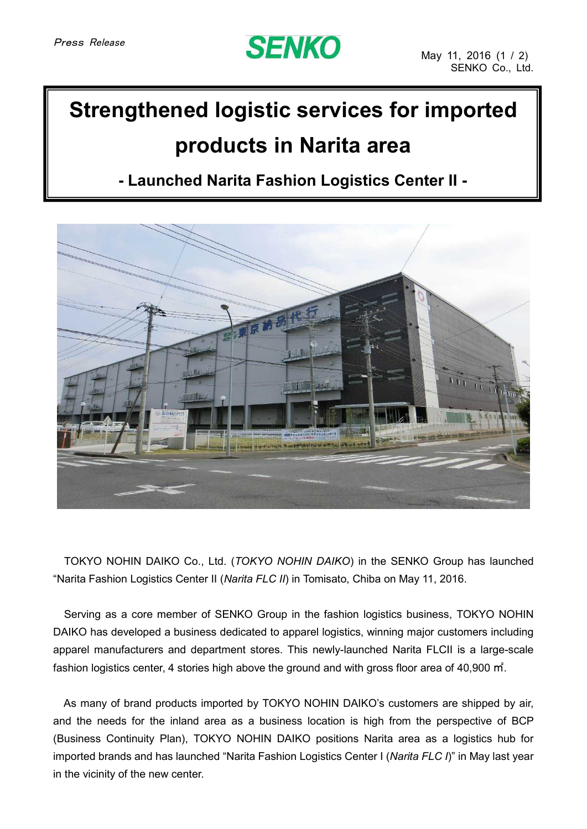# **SENKO**

## **Strengthened logistic services for imported products in Narita area**

## **- Launched Narita Fashion Logistics Center II -**



TOKYO NOHIN DAIKO Co., Ltd. (*TOKYO NOHIN DAIKO*) in the SENKO Group has launched "Narita Fashion Logistics Center II (*Narita FLC II*) in Tomisato, Chiba on May 11, 2016.

Serving as a core member of SENKO Group in the fashion logistics business, TOKYO NOHIN DAIKO has developed a business dedicated to apparel logistics, winning major customers including apparel manufacturers and department stores. This newly-launched Narita FLCII is a large-scale fashion logistics center, 4 stories high above the ground and with gross floor area of 40,900 ㎡.

As many of brand products imported by TOKYO NOHIN DAIKO's customers are shipped by air, and the needs for the inland area as a business location is high from the perspective of BCP (Business Continuity Plan), TOKYO NOHIN DAIKO positions Narita area as a logistics hub for imported brands and has launched "Narita Fashion Logistics Center I (*Narita FLC I*)" in May last year in the vicinity of the new center.